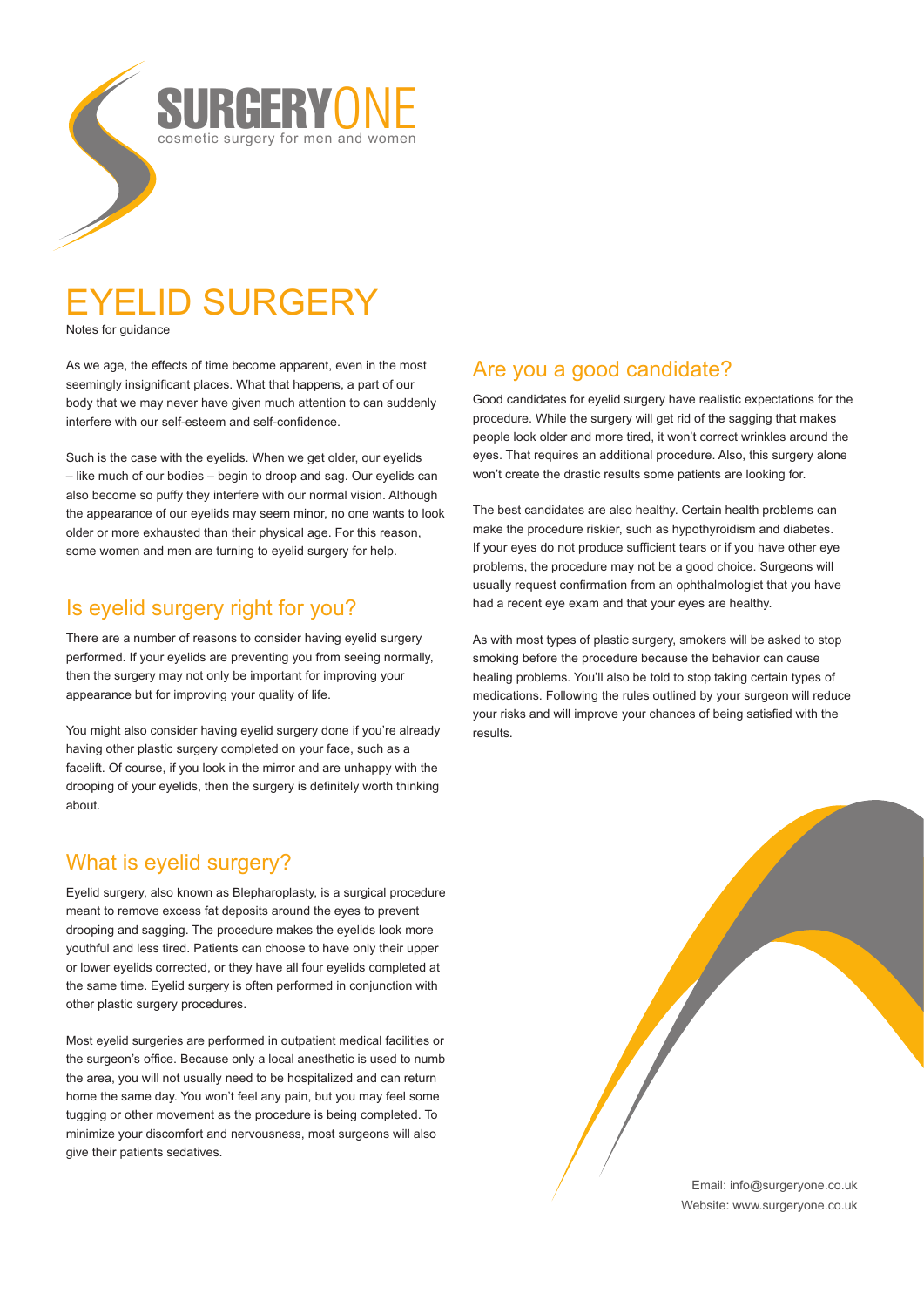

# EYELID SURGERY

Notes for guidance

As we age, the effects of time become apparent, even in the most seemingly insignificant places. What that happens, a part of our body that we may never have given much attention to can suddenly interfere with our self-esteem and self-confidence.

Such is the case with the eyelids. When we get older, our eyelids – like much of our bodies – begin to droop and sag. Our eyelids can also become so puffy they interfere with our normal vision. Although the appearance of our eyelids may seem minor, no one wants to look older or more exhausted than their physical age. For this reason, some women and men are turning to eyelid surgery for help.

### Is eyelid surgery right for you?

There are a number of reasons to consider having eyelid surgery performed. If your eyelids are preventing you from seeing normally, then the surgery may not only be important for improving your appearance but for improving your quality of life.

You might also consider having eyelid surgery done if you're already having other plastic surgery completed on your face, such as a facelift. Of course, if you look in the mirror and are unhappy with the drooping of your eyelids, then the surgery is definitely worth thinking about.

## What is eyelid surgery?

Eyelid surgery, also known as Blepharoplasty, is a surgical procedure meant to remove excess fat deposits around the eyes to prevent drooping and sagging. The procedure makes the eyelids look more youthful and less tired. Patients can choose to have only their upper or lower eyelids corrected, or they have all four eyelids completed at the same time. Eyelid surgery is often performed in conjunction with other plastic surgery procedures.

Most eyelid surgeries are performed in outpatient medical facilities or the surgeon's office. Because only a local anesthetic is used to numb the area, you will not usually need to be hospitalized and can return home the same day. You won't feel any pain, but you may feel some tugging or other movement as the procedure is being completed. To minimize your discomfort and nervousness, most surgeons will also give their patients sedatives.

## Are you a good candidate?

Good candidates for eyelid surgery have realistic expectations for the procedure. While the surgery will get rid of the sagging that makes people look older and more tired, it won't correct wrinkles around the eyes. That requires an additional procedure. Also, this surgery alone won't create the drastic results some patients are looking for.

The best candidates are also healthy. Certain health problems can make the procedure riskier, such as hypothyroidism and diabetes. If your eyes do not produce sufficient tears or if you have other eye problems, the procedure may not be a good choice. Surgeons will usually request confirmation from an ophthalmologist that you have had a recent eye exam and that your eyes are healthy.

As with most types of plastic surgery, smokers will be asked to stop smoking before the procedure because the behavior can cause healing problems. You'll also be told to stop taking certain types of medications. Following the rules outlined by your surgeon will reduce your risks and will improve your chances of being satisfied with the results.

> Email: info@surgeryone.co.uk Website: www.surgeryone.co.uk